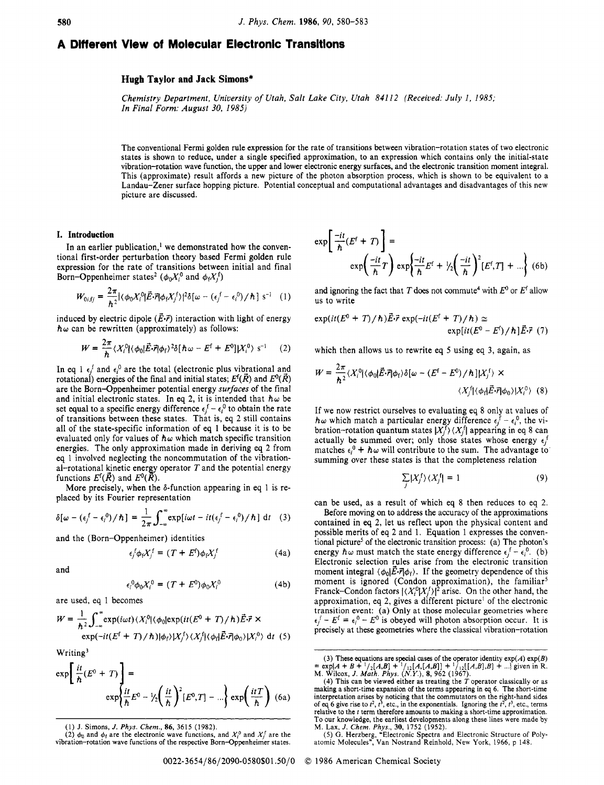# **A Dtfferent View of Molecular Electronic Transltlons**

# **Hugh Taylor and Jack Simons\***

Chemistry Department, University *of* Utah, Salt Lake City, Utah *841* 12 (Received: July *1,* 1985; In Final Form: August 30, 1985)

The conventional Fermi golden rule expression for the rate of transitions between vibration-rotation states of two electronic states is shown to reduce, under a single specified approximation, to an expression which contains only the initial-state vibration-rotation wave function, the upper and lower electronic energy surfaces, and the electronic transition moment integral. This (approximate) result affords a new picture of the photon absorption process, which is shown to be equivalent to a Landau-Zener surface hopping picture. Potential conceptual and computational advantages and disadvantages of this new picture are discussed.

## **I. Introduction**

In an earlier publication,<sup>1</sup> we demonstrated how the conventional first-order perturbation theory based Fermi golden rule expression for the rate of transitions between initial and final Born-Oppenheimer states<sup>2</sup> ( $\phi_0 X_i^0$  and  $\phi_f X_i^f$ )

$$
W_{0i, fj} = \frac{2\pi}{\hbar^2} |\langle \phi_0 X_i^0 | \vec{E} \cdot \vec{r} | \phi_f X_j^f \rangle|^2 \delta[\omega - (\epsilon_j^f - \epsilon_i^0) / \hbar] s^{-1} \quad (1)
$$

induced by electric dipole  $(\vec{E} \cdot \vec{r})$  interaction with light of energy  $\hbar \omega$  can be rewritten (approximately) as follows:

$$
W = \frac{2\pi}{\hbar} \langle X_i^0 | \langle \phi_0 | \vec{E} \cdot \vec{r} | \phi_f \rangle^2 \delta [\hbar \omega - E^{\text{f}} + E^0] |X_i^0 \rangle \text{ s}^{-1} \qquad (2)
$$

In eq 1  $\epsilon_i^f$  and  $\epsilon_i^0$  are the total (electronic plus vibrational and rotational) energies of the final and initial states;  $E^{\text{f}}(\tilde{R})$  and  $E^{\text{0}}(\tilde{R})$ are the Born-Oppenheimer potential energy surfaces of the final and initial electronic states. In eq 2, it is intended that  $h\omega$  be set equal to a specific energy difference  $\epsilon_j^f - \epsilon_i^0$  to obtain the rate set equal to a specific energy difference  $\epsilon_j^f - \epsilon_i^0$  to obtain the rate of transitions between these states. That is, eq 2 still contains all of the state-specific information of eq 1 because it is to be evaluated only for values of  $h\omega$  which match specific transition energies. The only approximation made in deriving eq 2 from eq 1 involved neglecting the noncommutation of the vibrational-rotational kinetic energy operator *T* and the potential energy functions  $E^{\{f\}}(\vec{R})$  and  $E^{\{0\}}(\vec{R})$ .

More precisely, when the  $\delta$ -function appearing in eq 1 is replaced by its Fourier representation

$$
\delta[\omega - (\epsilon_j^f - \epsilon_i^0)/\hbar] = \frac{1}{2\pi} \int_{-\infty}^{\infty} \exp[i\omega t - it(\epsilon_j^f - \epsilon_i^0)/\hbar] dt
$$
 (3)

and the (Born-Oppenheimer) identities

$$
\epsilon_j^f \phi_f X_j^f = (T + E^f) \phi_f X_j^f \tag{4a}
$$

and

$$
\epsilon_i^0 \phi_0 X_i^0 = (T + E^0) \phi_0 X_i^0 \tag{4b}
$$

are used, eq 1 becomes

$$
W = \frac{1}{\hbar^2} \int_{-\infty}^{\infty} \exp(i\omega t) \langle X_i^0 | \langle \phi_0 | \exp(it(E^0 + T) / \hbar) \vec{E} \cdot \vec{r} \times
$$
  
 
$$
\exp(-it(E^f + T) / \hbar) |\phi_f \rangle |X_j^f \rangle \langle X_j^f | \langle \phi_f | \vec{E} \cdot \vec{r} | \phi_0 \rangle |X_i^0 \rangle \, dt \tag{5}
$$

Writing3

$$
\exp\left\{\frac{it}{\hbar}(E^0+T)\right\} = \exp\left\{\frac{it}{\hbar}E^0 - \frac{1}{2}\left(\frac{it}{\hbar}\right)^2[E^0,T] - \ldots\right\} \exp\left(\frac{itT}{\hbar}\right) (6a)
$$

$$
\exp\left[\frac{-it}{\hbar}(E^{\dagger} + T)\right] =
$$
  
 
$$
\exp\left(\frac{-it}{\hbar}T\right)\exp\left\{\frac{-it}{\hbar}E^{\dagger} + \frac{1}{2}\left(\frac{-it}{\hbar}\right)^{2}\left[E^{\dagger},T\right] + \ldots\right\}
$$
 (6b)

and ignoring the fact that *T* does not commute<sup>4</sup> with  $E^0$  or  $E^f$  allow us to write

$$
\exp(it(E^0 + T)/\hbar)\vec{E}\cdot\vec{r} \exp(-it(E^f + T)/\hbar) \approx
$$
  
 
$$
\exp(it(E^0 - E^f)/\hbar]\vec{E}\cdot\vec{r}
$$
 (7)

which then allows us to rewrite eq 5 using eq 3, again, as

$$
W = \frac{2\pi}{\hbar^2} \langle X_i^0 | \langle \phi_0 | \vec{E} \cdot \vec{r} | \phi_f \rangle \delta[\omega - (E^{\rm f} - E^{\rm f}) / \hbar] |X_j^{\rm f}\rangle \times
$$
  

$$
\langle X_j^{\rm f} | \langle \phi_{\rm f} | \vec{E} \cdot \vec{r} | \phi_0 \rangle |X_i^{\rm f}\rangle \quad (8)
$$

If we now restrict ourselves to evaluating eq 8 only at values of  $h\omega$  which match a particular energy difference  $\epsilon_i^f - \epsilon_i^0$ , the vibration-rotation quantum states  $|X_j^T\rangle \langle X_j^f|$  appearing in eq 8 can actually be summed over; only those states whose energy  $\epsilon_j$ matches  $\epsilon_i^0$  +  $\hbar \omega$  will contribute to the sum. The advantage to summing over these states is that the completeness relation

$$
\sum_{i} |X_{j}^{f}\rangle \langle X_{j}^{f}| = 1 \tag{9}
$$

can be used, as a result of which eq 8 then reduces to eq 2.

Before moving on to address the accuracy of the approximations contained in eq 2, let **us** reflect upon the physical content and possible merits of eq 2 and 1. Equation 1 expresses the conventional picture<sup>5</sup> of the electronic transition process: (a) The photon's energy  $\hbar \omega$  must match the state energy difference  $\epsilon_i^f - \epsilon_i^0$ . (b) Electronic selection rules arise from the electronic transition moment integral  $\langle \phi_0 | \vec{E} \cdot \vec{r} | \phi_f \rangle$ . If the geometry dependence of this moment is ignored (Condon approximation), the familiar<sup>5</sup> Franck-Condon factors  $|\langle X_i^0 | X_i^t \rangle|^2$  arise. On the other hand, the approximation, eq 2, gives a different picture' of the electronic transition event: (a) Only at those molecular geometries where  $\epsilon_i^f - E^f = \epsilon_i^0 - E^0$  is obeyed will photon absorption occur. It is precisely at these geometries where the classical vibration-rotation

**<sup>(1)</sup>** J. Simons, *J. Phys. Chem., 86,* 3615 (1982).

<sup>(2)</sup>  $\phi_0$  and  $\phi_f$  are the electronic wave functions, and  $X_i^0$  and  $X_j^f$  are the vibration-rotation wave functions of the respective Born-Oppenheimer states.

<sup>(3)</sup> These equations are special cases of the operator identity  $\exp(A) \exp(B) = \exp[A + B + \frac{1}{2}[A, B] + \frac{1}{12}[A, [A, B]] + \frac{1}{12}[A, B], B] + \dots$ , given in R.<br>M. Wilcox, J. Math. Phys. (N.Y.), 8, 962 (1967).<br>M. Wilcox, J. Math. Phys. (N.Y.),

interpretation arises **by** noticing that the commutators on the right-hand sides of *eq* 6 give rise to *r2, r),* etc., in the exponentials. Ignoring the *t2, r3,* etc., terms relative to the *f* term therefore amounts to making a short-time approximation. To our knowledge, the earliest developments along these lines were made by M. Lax, *J. Chem. Phys., 30,* 1752 (1952).

*<sup>(5)</sup>* G. Herzberg, "Electronic Spectra and Electronic Structure of Poly-atomic Molecules", Van Nostrand Reinhold, New York, 1966, p 148.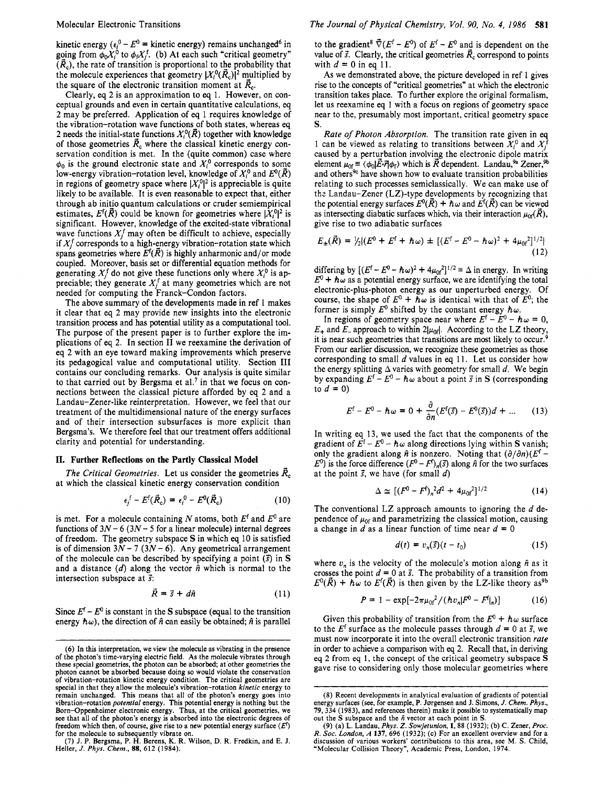kinetic energy  $(\epsilon_i^0 - E^0)$  = kinetic energy) remains unchanged<sup>6</sup> in going from  $\phi_0 X_i^0$  to  $\phi_f X_j^f$ . (b) At each such "critical geometry"  $(\vec{R}_c)$ , the rate of transition is proportional to the probability that the molecule experiences that geometry  $|X_i^0(\vec{R}_c)|^2$  multiplied by the square of the electronic transition moment at  $\vec{R}_{c}$ .

Clearly, eq *2* is an approximation to eq 1. However, on conceptual grounds and even in certain quantitative calculations, eq 2 may be preferred. Application of eq 1 requires knowledge of the vibration-rotation wave functions of both states, whereas eq 2 needs the initial-state functions  $X_i^0(\vec{R})$  together with knowledge of those geometries  $\vec{R}_c$  where the classical kinetic energy conservation condition is met. **In** the (quite common) case where  $\phi_0$  is the ground electronic state and  $X_i^0$  corresponds to some low-energy vibration-rotation level, knowledge of  $X_i^0$  and  $E^0(\vec{R})$ in regions of geometry space where  $|X_i^0|^2$  is appreciable is quite likely to be available. It is even reasonable to expect that, either through ab initio quantum calculations or cruder semiempirical estimates,  $E^f(\vec{R})$  could be known for geometries where  $|X_i^0|^2$  is significant. However, knowledge of the excited-state vibrational wave functions  $X_i^f$  may often be difficult to achieve, especially if  $X_i^f$  corresponds to a high-energy vibration-rotation state which spans geometries where  $E^f(\vec{R})$  is highly anharmonic and/or mode coupled. Moreover, basis set or differential equation methods for generating  $X_i^f$  do not give these functions only where  $X_i^0$  is appreciable; they generate  $X_i^{\dagger}$  at many geometries which are not needed for computing the Franck-Condon factors.

The above summary of the developments made in ref 1 makes it clear that eq 2 may provide new insights into the electronic transition process and has potential utility as a computational tool. The purpose of the present paper is to further explore the implications of eq 2. **In** section **I1** we reexamine the derivation of eq 2 with an eye toward making improvements which preserve its pedagogical value and computational utility. Section **I11**  contains our concluding remarks. Our analysis is quite similar to that carried out by Bergsma et al.' in that we focus on connections between the classical picture afforded by eq **2** and a Landau-Zener-like reinterpretation. However, we feel that our treatment of the multidimensional nature of the energy surfaces and of their intersection subsurfaces is more explicit than Bergsma's. We therefore feel that our treatment offers additional clarity and potential for understanding.

### **11. Further Reflections on the Partly Classical Model**

at which the classical kinetic energy conservation condition *The Critical Geometries.* Let us consider the geometries  $\vec{R}_c$ 

$$
\epsilon_i^f - E^f(\vec{R}_c) = \epsilon_i^0 - E^0(\vec{R}_c)
$$
 (10)

is met. For a molecule containing N atoms, both  $E^f$  and  $E^0$  are functions of  $3N - 6$  ( $3N - 5$  for a linear molecule) internal degrees of freedom. The geometry subspace *S* in which eq 10 is satisfied is of dimension  $3N - 7$   $(3N - 6)$ . Any geometrical arrangement of the molecule can be described by specifying a point *(3* in *<sup>S</sup>* and a distance  $(d)$  along the vector  $\hat{n}$  which is normal to the intersection subspace at  $\vec{s}$ :

$$
\vec{R} = \vec{s} + d\hat{n} \tag{11}
$$

Since  $E^{\dagger} - E^0$  is constant in the **S** subspace (equal to the transition energy  $h\omega$ ), the direction of  $\hat{n}$  can easily be obtained;  $\hat{n}$  is parallel

to the gradient<sup>8</sup>  $\vec{\nabla} (E^f - E^0)$  of  $E^f - E^0$  and is dependent on the value of  $\vec{s}$ . Clearly, the critical geometries  $\vec{R}_c$  correspond to points with  $d = 0$  in eq 11.

As we demonstrated above, the picture developed in ref 1 gives rise to the concepts of "critical geometries" at which the electronic transition takes place. To further explore the original formalism, let us reexamine eq 1 with a focus on regions of geometry space near to the, presumably most important, critical geometry space *S.* 

*Rate* of *Photon Absorption.* The transition rate given in eq 1 can be viewed as relating to transitions between  $X_i^0$  and  $X_i^1$ caused by a perturbation involving the electronic dipole matrix element  $\mu_{0f} = \langle \phi_0 | \vec{E} \cdot \vec{r} | \phi_f \rangle$  which is  $\vec{R}$  dependent. Landau,<sup>9a</sup> Zener,<sup>9b</sup> and others<sup>9c</sup> have shown how to evaluate transition probabilities relating to such processes semiclassically. We can make use of the Landau-Zener  $(LZ)$ -type developments by recognizing that the potential energy surfaces  $E^0(\vec{R}) + h\omega$  and  $E^f(\vec{R})$  can be viewed as intersecting diabatic surfaces which, via their interaction  $\mu_{0f}(\vec{R})$ , give rise to two adiabatic surfaces

$$
E_{\pm}(\vec{R}) = \frac{1}{2} \{ (E^0 + E^f + \hbar \omega) \pm \left[ (E^f - E^0 - \hbar \omega)^2 + 4 \mu_{0f}^2 \right]^{1/2} \} \tag{12}
$$

differing by  $[(E^f - E^0 - \hbar \omega)^2 + 4\mu_0^2]^{1/2} \equiv \Delta$  in energy. In writing  $E^0$  +  $\hbar \omega$  as a potential energy surface, we are identifying the total electronic-plus-photon energy as our unperturbed energy. Of course, the shape of  $E^0 + \hbar \omega$  is identical with that of  $E^0$ ; the former is simply  $E^0$  shifted by the constant energy  $\hbar \omega$ .

In regions of geometry space near where  $E^f - E^0 - \hbar \omega = 0$ ,  $E_+$  and  $E_-$  approach to within  $2|\mu_{0f}|$ . According to the LZ theory, it is near such geometries that transitions are most likely to occur.<sup>9</sup> From our earlier discussion, we recognize these geometries as those corresponding to small *d* values in eq 11. Let us consider how the energy splitting  $\Delta$  varies with geometry for small *d*. We begin by expanding  $E^f - E^0 - \hbar \omega$  about a point  $\vec{s}$  in *S* (corresponding to  $d = 0$ )

$$
E^{\mathsf{f}} - E^0 - \hbar \omega = 0 + \frac{\partial}{\partial n} (E^{\mathsf{f}}(\vec{s}) - E^0(\vec{s}))d + \dots \qquad (13)
$$

**In** writing eq *13,* we used the fact that the components of the gradient of  $E^f - E^0 - \hbar \omega$  along directions lying within S vanish; only the gradient along  $\hat{n}$  is nonzero. Noting that  $(\partial/\partial n)(E^f E^0$ ) is the force difference  $(F^0 - F^1)_n(\vec{s})$  along  $\hat{n}$  for the two surfaces at the point  $\vec{s}$ , we have (for small  $d$ )

$$
\Delta \simeq [(F^0 - F^f)_n^2 d^2 + 4\mu_{0f}^2]^{1/2} \tag{14}
$$

The conventional LZ approach amounts to ignoring the *d* dependence of  $\mu_{0f}$  and parametrizing the classical motion, causing a change in *d* as a linear function of time near *d* = 0

$$
d(t) = v_n(\vec{s})(t - t_0) \tag{15}
$$

where  $v_n$  is the velocity of the molecule's motion along  $\hat{n}$  as it crosses the point  $d = 0$  at  $\vec{s}$ . The probability of a transition from  $E^0(\vec{R}) + \hbar \omega$  to  $E^{\{f\}}(\vec{R})$  is then given by the LZ-like theory as<sup>9b</sup>

$$
P = 1 - \exp[-2\pi\mu_{0f}^{2} / (\hbar v_{n}|F^{0} - F^{f}|_{n})]
$$
 (16)

Given this probability of transition from the  $E^0 + \hbar \omega$  surface to the  $E^f$  surface as the molecule passes through  $d = 0$  at  $\vec{s}$ , we must now incorporate it into the overall electronic transition *rate*  in order to achieve a comparison with *eq* **2.** Recall that, in deriving eq 2 from eq 1, the concept of the critical geometry subspace **S**  gave rise to considering only those molecular geometries where

<sup>(6)</sup> **In** this interpretation, we view the molecule as vibrating in the presence of the photon's time-varying electric field. As the molecule vibrates through these special geometries, the photon **can** be absorbed; at other geometries the photon cannot be absorbed because doing so would violate the conservation of vibration-rotation kinetic energy condition. The critical geometries are of vibration-rotation kinetic energy condition. The critical geometries are<br>special in that they allow the molecule's vibration-rotation *kinetic* energy to<br>remain unchanged. This means that all of the photon's energy goes vibration-rotation *potenrial* energy. This potential energy is nothing but the Born-Oppenheimer electronic energy. Thus, at the critical geometries, we see that all of the photon's energy is absorbed into the electronic degrees of freedom which then, of course, give rise to a new potential energy surface  $(E^t)$ for the molecule to subsequently vibrate **on.** (7) J. P. Bergsma, P. **H.** Berens, K. R. Wilson, D. R. Fredkin, and E. J.

Heller, *J. Phys. Chem., 88,* 612 (1984).

<sup>(8)</sup> Recent developments in analytical evaluation of gradients of potential energy surfaces *(see,* for example, P. **Jorgensen** and J. Simons, *J. Chem. Phys.,*  79, 334 (1983), and **references** therein) make it possible to systematically map out the **S** subspace and the *ii* vector at each point in **S.**  (9) (a) L. Landau, *Phys. Z. Sowjetunion,* **1,** *88* (1932); (b) C. Zener, *Proc.* 

R. Soc. London, A 137, 696 (1932); (c) For an excellent overview and for a discussion of various workers' contributions to this area, see M. S. Child, "Molecular Collision Theory", Academic Press, London, 1974.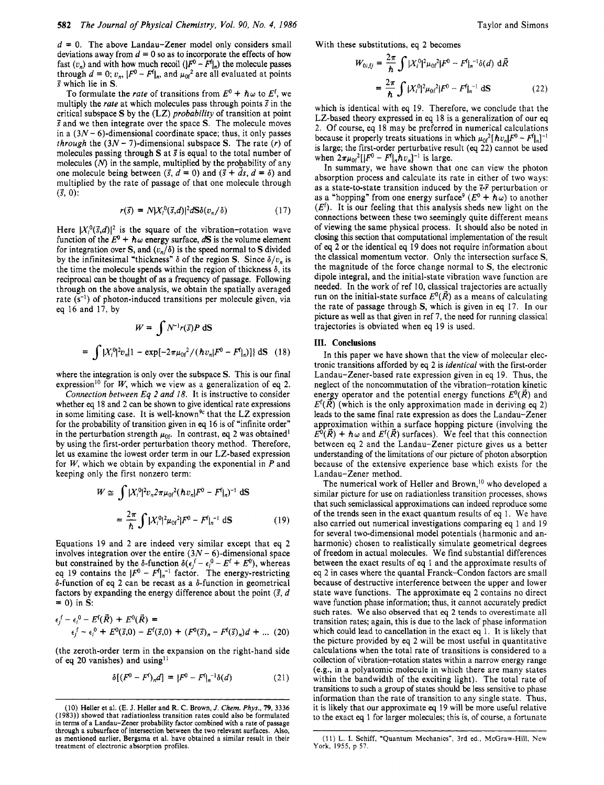$d = 0$ . The above Landau-Zener model only considers small deviations away from  $d = 0$  so as to incorporate the effects of how fast  $(v_n)$  and with how much recoil  $(|F^0 - F^f|_n)$  the molecule passes through  $d = 0$ ;  $v_n$ ,  $|F^0 - F^f|_n$ , and  $\mu_0 r^2$  are all evaluated at points **s'** which lie in **S.** 

To formulate the *rate* of transitions from  $E^0 + \hbar \omega$  to  $E^f$ , we multiply the *rate* at which molecules pass through points  $\vec{s}$  in the critical subspace *S* by the (LZ) *probability* of transition at point **S** and we then integrate over the space **S.** The molecule moves in a *(3N-* 6)-dimensional coordinate space; thus, it only passes *through* the  $(3N - 7)$ -dimensional subspace *S*. The rate  $(r)$  of molecules passing through **S** at **s'** is equal to the total number of molecules *(N)* in the sample, multiplied by the probability of any one molecule being between  $(\vec{s}, d = 0)$  and  $(\vec{s} + \vec{d}s, d = \delta)$  and multiplied by the rate of passage of that one molecule through  $( \vec{s}, 0)$ :

$$
r(\vec{s}) = N |X_i^0(\vec{s}, d)|^2 dS \delta(v_n/\delta)
$$
 (17)

Here  $|X_i^0(\vec{s}, d)|^2$  is the square of the vibration-rotation wave function of the  $E^0 + h\omega$  energy surface,  $dS$  is the volume element for integration over **S**, and  $(v_n/\delta)$  is the speed normal to **S** divided by the infinitesimal "thickness"  $\delta$  of the region **S**. Since  $\delta/v_n$  is the time the molecule spends within the region of thickness  $\delta$ , its reciprocal can be thought of as a frequency of passage. Following through on the above analysis, we obtain the spatially averaged rate  $(s^{-1})$  of photon-induced transitions per molecule given, via eq 16 and 17, by

$$
W = \int N^{-1} r(\vec{s}) P \, dS
$$
  
=  $\int |X_1^0|^2 v_n [1 - \exp[-2\pi\mu_{0f}^2 / (\hbar v_n |F^0 - F^f]_n)] \, dS$  (18)

where the integration is only over the subspace **S.** This is our final expression<sup>10</sup> for *W*, which we view as a generalization of eq 2.

*Connection between Eq* 2 *and* 18. It is instructive to consider whether *eq* 18 and 2 can be shown to give identical rate expressions in some limiting case. It is well-known<sup>9c</sup> that the LZ expression for the probability of transition given in *eq* 16 is of "infinite order" in the perturbation strength  $\mu_{0f}$ . In contrast, eq 2 was obtained<sup>1</sup> by using the first-order perturbation theory method. Therefore, let us examine the lowest order term in our LZ-based expression for *W,* which we obtain by expanding the exponential in *P* and keeping only the first nonzero term:

$$
W \simeq \int |X_i^0|^2 v_n^2 \pi \mu_0 r^2 (\hbar v_n |F^0 - F^1|_n)^{-1} dS
$$
  
=  $\frac{2\pi}{\hbar} \int |X_i^0|^2 \mu_0 r^2 |F^0 - F^1|_n^{-1} dS$  (19)

Equations 19 and 2 are indeed very similar except that eq 2 involves integration over the entire  $(3N - 6)$ -dimensional space but constrained by the  $\delta$ -function  $\delta(\epsilon_i^f - \epsilon_i^0 - E^f + E^0)$ , whereas but constrained by the *o*-function  $o(\epsilon_j - \epsilon_i^2 - E^2 + E^2)$ , whereas<br>eq 19 contains the  $|F^0 - F^1|_{n^{-1}}$  factor. The energy-restricting  $\delta$ -function of eq 2 can be recast as a  $\delta$ -function in geometrical factors by expanding the energy difference about the point  $(\vec{s}, d)$  $= 0$ ) in S:

$$
\epsilon_j^f - \epsilon_i^0 - E^f(\vec{R}) + E^0(\vec{R}) =
$$
  
\n
$$
\epsilon_j^f - \epsilon_i^0 + E^0(\vec{S}, 0) - E^f(\vec{S}, 0) + (F^0(\vec{S})_n - F^f(\vec{S})_n)d + ...
$$
 (20)

(the zeroth-order term in the expansion on the right-hand side of eq 20 vanishes) and using<sup>11</sup>

$$
\delta[(F^0 - F^f)_n d] = |F^0 - F^f|_n^{-1} \delta(d) \tag{21}
$$

With these substitutions, eq 2 becomes

$$
W_{0i,fj} = \frac{2\pi}{\hbar} \int |X_i^0|^2 \mu_{0i}^2 |F^0 - F^{\dagger}|_{n}^{-1} \delta(d) d\vec{R}
$$
  
= 
$$
\frac{2\pi}{\hbar} \int |X_i^0|^2 \mu_{0i}^2 |F^0 - F^{\dagger}|_{n}^{-1} dS
$$
 (22)

which is identical with eq 19. Therefore, we conclude that the LZ-based theory expressed in eq 18 is a generalization of our eq *2.* Of course, eq 18 may be preferred in numerical calculations because it properly treats situations in which  $\mu_0 f^2 [\hbar v_n] F^0 - F^{\dagger} |n]^{-1}$ is large; the first-order perturbative result *(eq* 22) cannot be used when  $2\pi\mu_{0f}^2[|F^0 - F^{\dagger}|_n\hbar v_n]^{-1}$  is large.

In summary, we have shown that one can view the photon absorption process and calculate its rate in either of two ways: as a state-to-state transition induced by the **2.7** perturbation or as a "hopping" from one energy surface<sup>9</sup>  $(E^0 + \hbar \omega)$  to another  $(E<sup>f</sup>)$ . It is our feeling that this analysis sheds new light on the connections between these two seemingly quite different means of viewing the same physical process. It should also be noted in closing this section that computational implementation of the result of *eq 2* or the identical *eq* 19 does not require information about the classical momentum vector. Only the intersection surface **S,**  the magnitude of the force change normal to **S,** the electronic dipole integral, and the initial-state vibration wave function are needed. In the work of ref 10, classical trajectories are actually run on the initial-state surface  $E^0(\vec{R})$  as a means of calculating the rate of passage through S, which is given in eq 17. In our picture as well as that given in ref **7,** the need for running classical trajectories is obviated when eq 19 is used.

# **111. Conclusions**

In this paper we have shown that the view of molecular electronic transitions afforded by *eq* 2 is *identical* with the first-order Landau-Zener-based rate expression given in eq 19. Thus, the neglect of the noncommutation of the vibration-rotation kinetic energy operator and the potential energy functions  $E^0(\tilde{R})$  and  $E^{\text{f}}(\vec{R})$  (which is the only approximation made in deriving eq 2) leads to the same final rate expression as does the Landau-Zener approximation within a surface hopping picture (involving the  $E^0(\vec{R}) + \hbar \omega$  and  $E^f(\vec{R})$  surfaces). We feel that this connection between eq 2 and the Landau-Zener picture gives **us** a better understanding of the limitations of our picture of photon absorption because of the extensive experience base which exists for the Landau-Zener method.

The numerical work of Heller and Brown,<sup>10</sup> who developed a similar picture for use on radiationless transition processes, shows that such semiclassical approximations can indeed reproduce some of the trends seen in the exact quantum results of eq 1. We have also carried out numerical investigations comparing eq 1 and 19 for several two-dimensional model potentials (harmonic and anharmonic) chosen to realistically simulate geometrical degrees of freedom in actual molecules. We find substantial differences between the exact results of eq 1 and the approximate results of eq *2* in cases where the quantal Franck-Condon factors are small because of destructive interference between the upper and lower state wave functions. The approximate eq *2* contains no direct wave function phase information; thus, it cannot accurately predict such rates. We also **observed** that *eq* **2** tends to overestimate all transition rates; again, this is due to the lack of phase information which could lead to cancellation in the exact *eq* 1. It is likely that the picture provided by eq 2 will be most useful in quantitative calculations when the total rate of transitions is considered to a collection of vibration-rotation states within a narrow energy range (e.g., in a polyatomic molecule in which there are many states within the bandwidth of the exciting light). The total rate of transitions to such a group of states should be **less** sensitive to phase information than the rate of transition to any single state. Thus, it is likely that our approximate *eq* 19 will be more useful relative to the exact *eq* 1 for larger molecules; this is, of course, a fortunate

<sup>(10)</sup> Heller et al. (E. **J.** Heller and R. C. Brown, *J. Chem. Phys.,* **79, 3336 (1983))** showed that radiationless transition rates could also be formulated in terms of a Landau-Zener probability factor combined with a rate of passage through a subsurface of intersection between the two relevant surfaces. Also, as mentioned earlier, Bergsma et al. have obtained a similar result in their treatment of electronic absorption profiles.

<sup>(1</sup> 1) L. I. Schiff, 'Quantum Mechanics", 3rd ed., McGraw-Hill, **New York, 1955, p 57.**